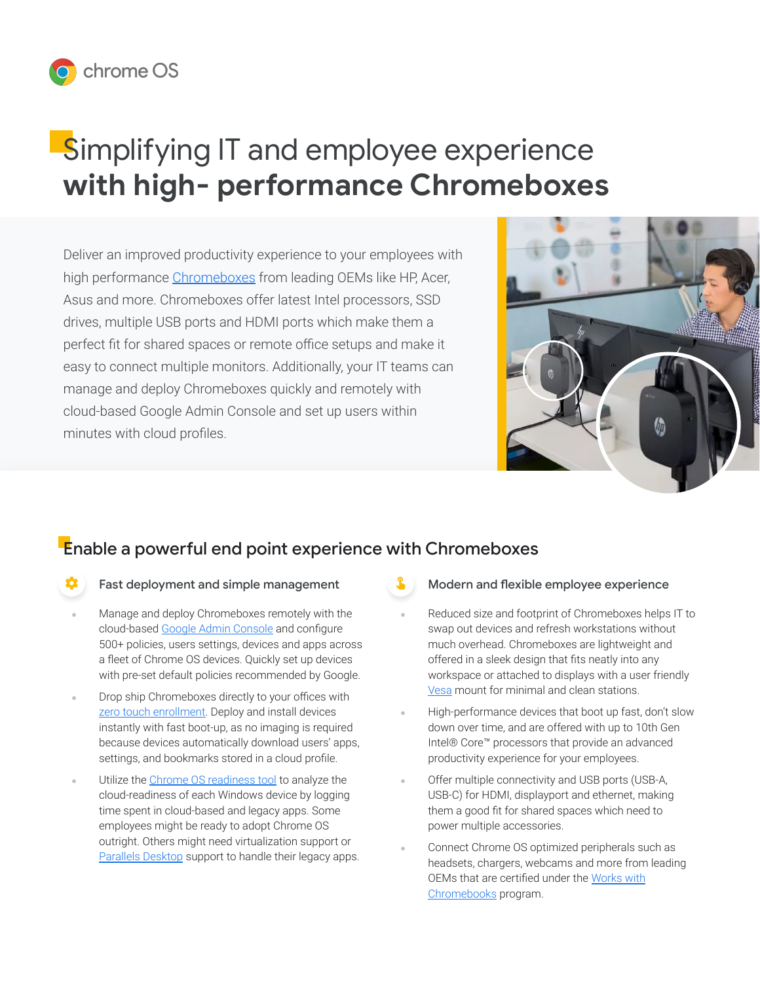

# Simplifying IT and employee experience **with high- performance Chromeboxes**

Deliver an improved productivity experience to your employees with high performance [Chromeboxes](https://chromeenterprise.google/devices/#chrome_devices) from leading OEMs like HP, Acer, Asus and more. Chromeboxes offer latest Intel processors, SSD drives, multiple USB ports and HDMI ports which make them a perfect fit for shared spaces or remote office setups and make it easy to connect multiple monitors. Additionally, your IT teams can manage and deploy Chromeboxes quickly and remotely with cloud-based Google Admin Console and set up users within minutes with cloud profiles.



# Enable a powerful end point experience with Chromeboxes

#### Fast deployment and simple management

- Manage and deploy Chromeboxes remotely with the cloud-based [Google Admin Console](https://services.google.com/fh/files/misc/google_admin_console_chrome_os.pdf) and configure 500+ policies, users settings, devices and apps across a fleet of Chrome OS devices. Quickly set up devices with pre-set default policies recommended by Google.
- Drop ship Chromeboxes directly to your offices with [zero touch enrollment.](https://support.google.com/chrome/a/answer/10130175?_ga=2.86760093.429775116.1615844224-1388170887.1611598599&_gac=1.91914856.1612381537.CjwKCAiAsOmABhAwEiwAEBR0ZgSZMW1ehXIiLXAtlZoCnCB_zskHQBxLH2RXsyGJh15O7ZH50-hE_BoCfcoQAvD_BwE) Deploy and install devices instantly with fast boot-up, as no imaging is required because devices automatically download users' apps, settings, and bookmarks stored in a cloud profile.
- Utilize the [Chrome OS readiness tool](https://chromeenterprise.google/os/readiness/) to analyze the cloud-readiness of each Windows device by logging time spent in cloud-based and legacy apps. Some employees might be ready to adopt Chrome OS outright. Others might need virtualization support or [Parallels Desktop](https://www.parallels.com/products/desktop/chrome/) support to handle their legacy apps.

#### Modern and flexible employee experience

- Reduced size and footprint of Chromeboxes helps IT to swap out devices and refresh workstations without much overhead. Chromeboxes are lightweight and offered in a sleek design that fits neatly into any workspace or attached to displays with a user friendly [Vesa](https://www.amazon.com/Mounting-Bracket-AOPEN-Chromebox-Product/dp/B07CSDYG7G) mount for minimal and clean stations.
- High-performance devices that boot up fast, don't slow down over time, and are offered with up to 10th Gen Intel® Core™ processors that provide an advanced productivity experience for your employees.
- Offer multiple connectivity and USB ports (USB-A, USB-C) for HDMI, displayport and ethernet, making them a good fit for shared spaces which need to power multiple accessories.
- Connect Chrome OS optimized peripherals such as headsets, chargers, webcams and more from leading OEMs that are certified under the [Works with](https://services.google.com/fh/files/misc/works_with_chromebook_badge_accessories_chrome_os_devices_one_pager.pdf?_ga=2.5508979.1909210385.1617569611-1388170887.1611598599&_gac=1.252050811.1617042788.Cj0KCQjw9YWDBhDyARIsADt6sGYsERn7UxlneVQcFgN-G5lrdVBa2ge_htvyjOHgbo6DZx6Z2rAnbVcaAnwhEALw_wcB) [Chromebooks](https://services.google.com/fh/files/misc/works_with_chromebook_badge_accessories_chrome_os_devices_one_pager.pdf?_ga=2.5508979.1909210385.1617569611-1388170887.1611598599&_gac=1.252050811.1617042788.Cj0KCQjw9YWDBhDyARIsADt6sGYsERn7UxlneVQcFgN-G5lrdVBa2ge_htvyjOHgbo6DZx6Z2rAnbVcaAnwhEALw_wcB) program.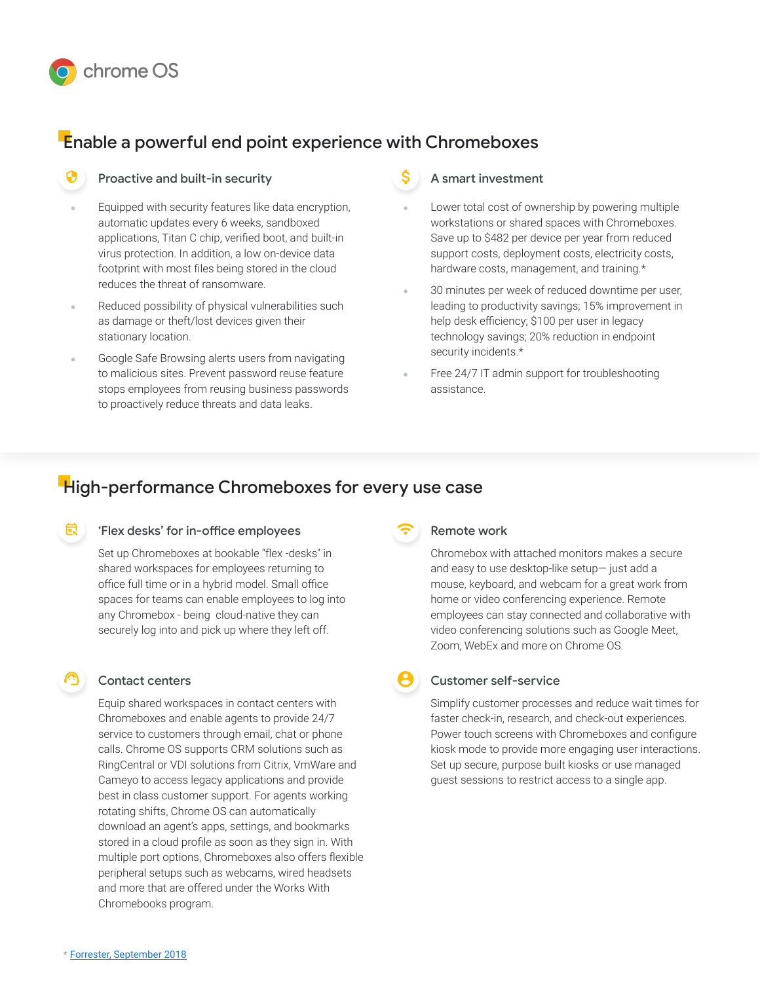

## Enable a powerful end point experience with Chromeboxes

#### Proactive and built-in security

- Equipped with security features like data encryption, automatic updates every 6 weeks, sandboxed applications, Titan C chip, verified boot, and built-in virus protection. In addition, a low on-device data footprint with most files being stored in the cloud reduces the threat of ransomware.
- Reduced possibility of physical vulnerabilities such as damage or theft/lost devices given their stationary location.
- Google Safe Browsing alerts users from navigating to malicious sites. Prevent password reuse feature stops employees from reusing business passwords to proactively reduce threats and data leaks.

#### A smart investment

- Lower total cost of ownership by powering multiple workstations or shared spaces with Chromeboxes. Save up to \$482 per device per year from reduced support costs, deployment costs, electricity costs, hardware costs, management, and training.\*
- 30 minutes per week of reduced downtime per user, leading to productivity savings; 15% improvement in help desk efficiency; \$100 per user in legacy technology savings; 20% reduction in endpoint security incidents.\*
- Free 24/7 IT admin support for troubleshooting assistance.

## **High-performance Chromeboxes for every use case**

#### 'Flex desks' for in-office employees

Set up Chromeboxes at bookable "flex -desks'' in shared workspaces for employees returning to office full time or in a hybrid model. Small office spaces for teams can enable employees to log into any Chromebox - being cloud-native they can securely log into and pick up where they left off.

#### Contact centers

Equip shared workspaces in contact centers with Chromeboxes and enable agents to provide 24/7 service to customers through email, chat or phone calls. Chrome OS supports CRM solutions such as RingCentral or VDI solutions from Citrix, VmWare and Cameyo to access legacy applications and provide best in class customer support. For agents working rotating shifts, Chrome OS can automatically download an agent's apps, settings, and bookmarks stored in a cloud profile as soon as they sign in. With multiple port options, Chromeboxes also offers flexible peripheral setups such as webcams, wired headsets and more that are offered under the Works With Chromebooks program.

## Remote work

Chromebox with attached monitors makes a secure and easy to use desktop-like setup— just add a mouse, keyboard, and webcam for a great work from home or video conferencing experience. Remote employees can stay connected and collaborative with video conferencing solutions such as Google Meet, Zoom, WebEx and more on Chrome OS.

#### Customer self-service

Simplify customer processes and reduce wait times for faster check-in, research, and check-out experiences. Power touch screens with Chromeboxes and configure kiosk mode to provide more engaging user interactions. Set up secure, purpose built kiosks or use managed guest sessions to restrict access to a single app.